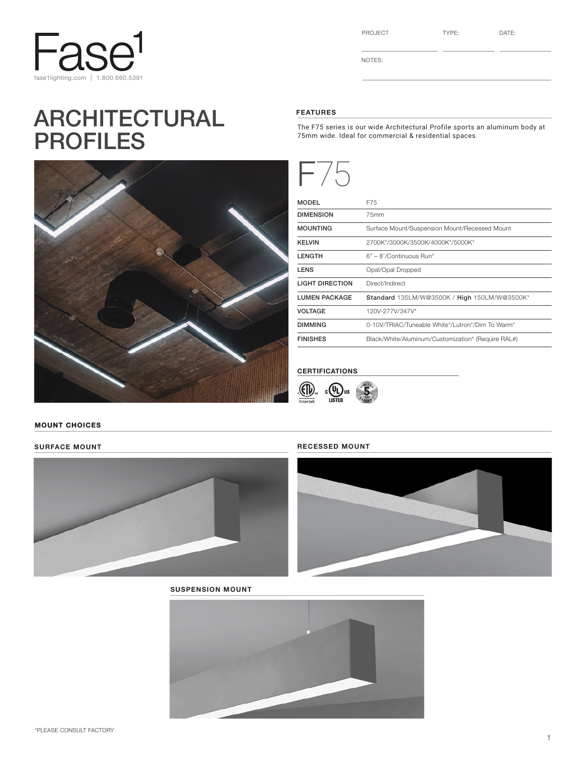

# ARCHITECTURAL PROFILES



PROJECT

TYPE: DATE:

NOTES:

#### FEATURES

The F75 series is our wide Architectural Profile sports an aluminum body at 75mm wide. Ideal for commercial & residential spaces.



| MODEL                  | F75                                                |
|------------------------|----------------------------------------------------|
| <b>DIMENSION</b>       | 75mm                                               |
| <b>MOUNTING</b>        | Surface Mount/Suspension Mount/Recessed Mount      |
| <b>KELVIN</b>          | 2700K*/3000K/3500K/4000K*/5000K*                   |
| <b>LENGTH</b>          | $6" - 8'/$ Continuous Run*                         |
| <b>LENS</b>            | Opal/Opal Dropped                                  |
| <b>LIGHT DIRECTION</b> | Direct/Indirect                                    |
| <b>LUMEN PACKAGE</b>   | Standard 135LM/W@3500K / High 150LM/W@3500K*       |
| <b>VOLTAGE</b>         | 120V-277V/347V*                                    |
| <b>DIMMING</b>         | 0-10V/TRIAC/Tuneable White*/Lutron*/Dim To Warm*   |
| <b>FINISHES</b>        | Black/White/Aluminum/Customization* (Require RAL#) |
|                        |                                                    |

### **CERTIFICATIONS**



#### MOUNT CHOICES

SURFACE MOUNT **RECESSED MOUNT** 





SUSPENSION MOUNT

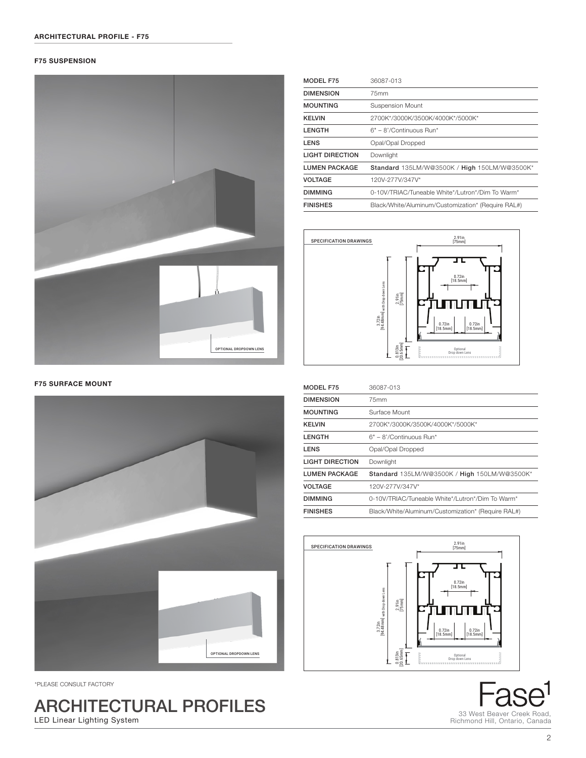#### F75 SUSPENSION



F75 SURFACE MOUNT



\*PLEASE CONSULT FACTORY

ARCHITECTURAL PROFILES LED Linear Lighting System

| MODEL F75              | 36087-013                                          |
|------------------------|----------------------------------------------------|
| <b>DIMENSION</b>       | 75mm                                               |
| <b>MOUNTING</b>        | <b>Suspension Mount</b>                            |
| <b>KELVIN</b>          | 2700K*/3000K/3500K/4000K*/5000K*                   |
| <b>LENGTH</b>          | 6" - 8'/Continuous Run*                            |
| <b>LENS</b>            | Opal/Opal Dropped                                  |
| <b>LIGHT DIRECTION</b> | Downlight                                          |
| <b>LUMEN PACKAGE</b>   | Standard 135LM/W@3500K / High 150LM/W@3500K*       |
| <b>VOLTAGE</b>         | 120V-277V/347V*                                    |
| <b>DIMMING</b>         | 0-10V/TRIAC/Tuneable White*/Lutron*/Dim To Warm*   |
| <b>FINISHES</b>        | Black/White/Aluminum/Customization* (Require RAL#) |
|                        |                                                    |



| <b>MODEL F75</b>       | 36087-013                                          |
|------------------------|----------------------------------------------------|
| <b>DIMENSION</b>       | 75mm                                               |
| <b>MOUNTING</b>        | Surface Mount                                      |
| <b>KELVIN</b>          | 2700K*/3000K/3500K/4000K*/5000K*                   |
| <b>LENGTH</b>          | $6" - 8'/\text{Continuous Run}$ *                  |
| <b>LENS</b>            | Opal/Opal Dropped                                  |
| <b>LIGHT DIRECTION</b> | Downlight                                          |
| <b>LUMEN PACKAGE</b>   | Standard 135LM/W@3500K / High 150LM/W@3500K*       |
| <b>VOLTAGE</b>         | 120V-277V/347V*                                    |
| <b>DIMMING</b>         | 0-10V/TRIAC/Tuneable White*/Lutron*/Dim To Warm*   |
| <b>FINISHES</b>        | Black/White/Aluminum/Customization* (Require RAL#) |



**as** 33 West Beaver Creek Road, Richmond Hill, Ontario, Canada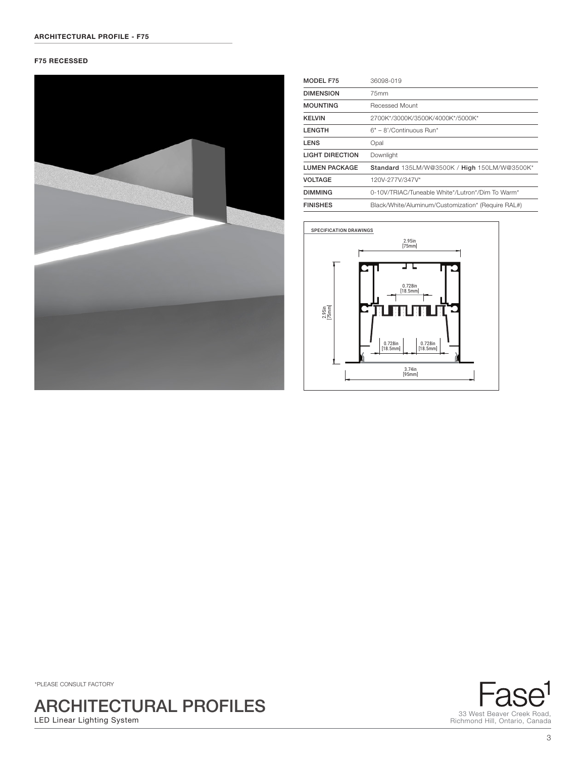#### F75 RECESSED



| MODEL F75              | 36098-019                                          |
|------------------------|----------------------------------------------------|
| <b>DIMENSION</b>       | 75mm                                               |
| <b>MOUNTING</b>        | Recessed Mount                                     |
| <b>KELVIN</b>          | 2700K*/3000K/3500K/4000K*/5000K*                   |
| <b>LENGTH</b>          | $6" - 8'/\text{Continuous Run}$ *                  |
| <b>LENS</b>            | Opal                                               |
| <b>LIGHT DIRECTION</b> | Downlight                                          |
| <b>LUMEN PACKAGE</b>   | Standard 135LM/W@3500K / High 150LM/W@3500K*       |
| <b>VOLTAGE</b>         | 120V-277V/347V*                                    |
| <b>DIMMING</b>         | 0-10V/TRIAC/Tuneable White*/Lutron*/Dim To Warm*   |
| <b>FINISHES</b>        | Black/White/Aluminum/Customization* (Require RAL#) |
|                        |                                                    |





\*PLEASE CONSULT FACTORY

ARCHITECTURAL PROFILES LED Linear Lighting System



3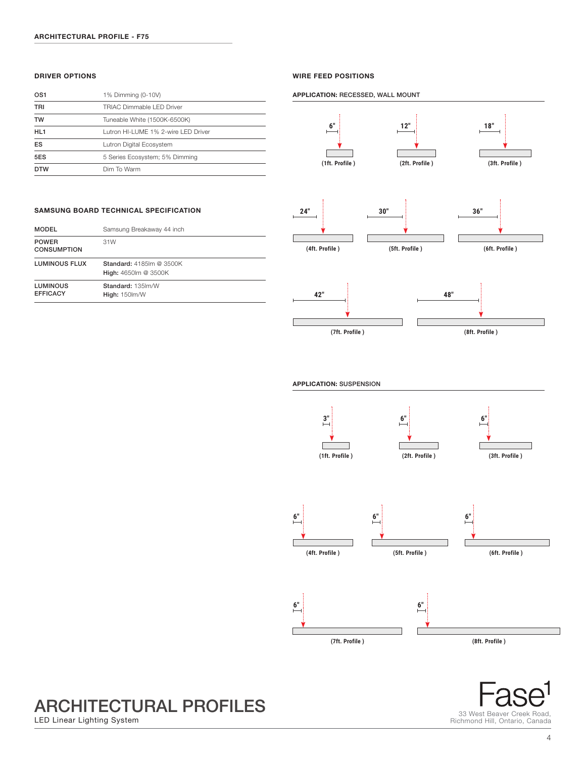#### DRIVER OPTIONS

| OS <sub>1</sub> | 1% Dimming (0-10V)                  |
|-----------------|-------------------------------------|
| TRI             | TRIAC Dimmable I FD Driver          |
| <b>TW</b>       | Tuneable White (1500K-6500K)        |
| HL <sub>1</sub> | Lutron HI-LUME 1% 2-wire LED Driver |
| ES              | Lutron Digital Ecosystem            |
| 5ES             | 5 Series Ecosystem; 5% Dimming      |
| <b>DTW</b>      | Dim To Warm                         |

#### WIRE FEED POSITIONS

APPLICATION: RECESSED, WALL MOUNT



### MODEL Samsung Breakaway 44 inch SAMSUNG BOARD TECHNICAL SPECIFICATION

| <b>NUDEL</b>                       | Samsung Breakaway 44 Inch                               |
|------------------------------------|---------------------------------------------------------|
| <b>POWER</b><br><b>CONSUMPTION</b> | 31W                                                     |
| LUMINOUS FLUX                      | <b>Standard: 4185 m @ 3500K</b><br>High: 4650lm @ 3500K |
| <b>LUMINOUS</b><br><b>EFFICACY</b> | Standard: 135 lm/W<br><b>High: 150 lm/W</b>             |

#### APPLICATION: SUSPENSION





## ARCHITECTURAL PROFILES

LED Linear Lighting System